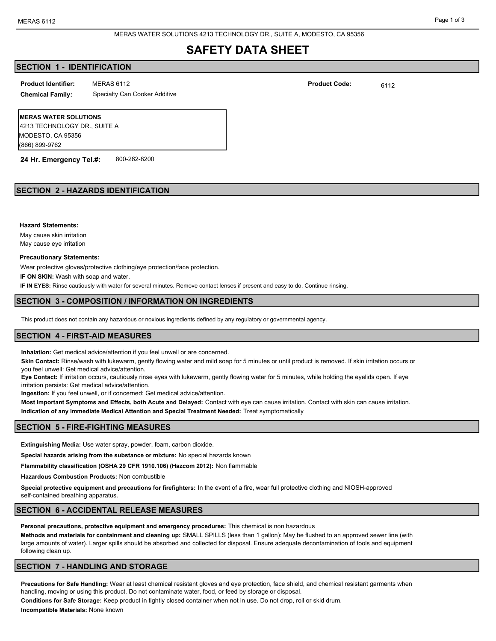MERAS WATER SOLUTIONS 4213 TECHNOLOGY DR., SUITE A, MODESTO, CA 95356

# **SAFETY DATA SHEET**

## **SECTION 1 - IDENTIFICATION**

**Product Identifier: Product Code:**

**Chemical Family:** Specialty Can Cooker Additive

MERAS 6112  $\blacksquare$  6112

**MERAS WATER SOLUTIONS** 4213 TECHNOLOGY DR., SUITE A MODESTO, CA 95356 (866) 899-9762

**24 Hr. Emergency Tel.#:** 800-262-8200

## **SECTION 2 - HAZARDS IDENTIFICATION**

**Hazard Statements:**

May cause skin irritation May cause eye irritation

#### **Precautionary Statements:**

Wear protective gloves/protective clothing/eye protection/face protection.

**IF ON SKIN:** Wash with soap and water.

**IF IN EYES:** Rinse cautiously with water for several minutes. Remove contact lenses if present and easy to do. Continue rinsing.

#### **SECTION 3 - COMPOSITION / INFORMATION ON INGREDIENTS**

This product does not contain any hazardous or noxious ingredients defined by any regulatory or governmental agency.

## **SECTION 4 - FIRST-AID MEASURES**

**Inhalation:** Get medical advice/attention if you feel unwell or are concerned.

**Skin Contact:** Rinse/wash with lukewarm, gently flowing water and mild soap for 5 minutes or until product is removed. If skin irritation occurs or you feel unwell: Get medical advice/attention.

**Eye Contact:** If irritation occurs, cautiously rinse eyes with lukewarm, gently flowing water for 5 minutes, while holding the eyelids open. If eye irritation persists: Get medical advice/attention.

**Ingestion:** If you feel unwell, or if concerned: Get medical advice/attention.

**Most Important Symptoms and Effects, both Acute and Delayed:** Contact with eye can cause irritation. Contact with skin can cause irritation. **Indication of any Immediate Medical Attention and Special Treatment Needed:** Treat symptomatically

## **SECTION 5 - FIRE-FIGHTING MEASURES**

**Extinguishing Media:** Use water spray, powder, foam, carbon dioxide.

**Special hazards arising from the substance or mixture:** No special hazards known

**Flammability classification (OSHA 29 CFR 1910.106) (Hazcom 2012):** Non flammable

**Hazardous Combustion Products:** Non combustible

**Special protective equipment and precautions for firefighters:** In the event of a fire, wear full protective clothing and NIOSH-approved self-contained breathing apparatus.

## **SECTION 6 - ACCIDENTAL RELEASE MEASURES**

**Personal precautions, protective equipment and emergency procedures:** This chemical is non hazardous

**Methods and materials for containment and cleaning up:** SMALL SPILLS (less than 1 gallon): May be flushed to an approved sewer line (with large amounts of water). Larger spills should be absorbed and collected for disposal. Ensure adequate decontamination of tools and equipment following clean up.

## **SECTION 7 - HANDLING AND STORAGE**

**Precautions for Safe Handling:** Wear at least chemical resistant gloves and eye protection, face shield, and chemical resistant garments when handling, moving or using this product. Do not contaminate water, food, or feed by storage or disposal.

**Conditions for Safe Storage:** Keep product in tightly closed container when not in use. Do not drop, roll or skid drum. **Incompatible Materials:** None known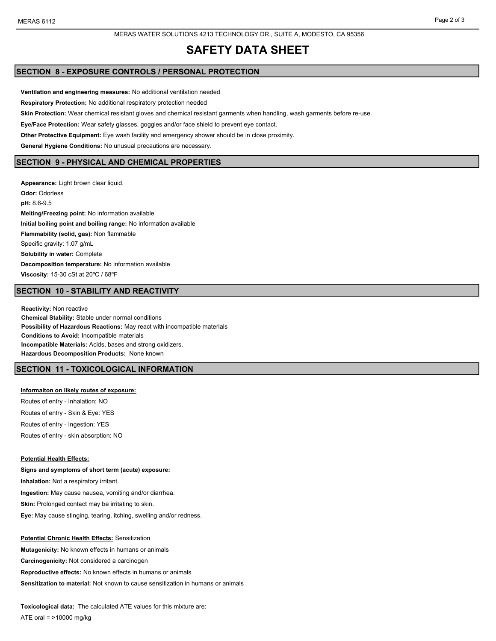#### MERAS WATER SOLUTIONS 4213 TECHNOLOGY DR., SUITE A, MODESTO, CA 95356

# **SAFETY DATA SHEET**

## **SECTION 8 - EXPOSURE CONTROLS / PERSONAL PROTECTION**

**Ventilation and engineering measures:** No additional ventilation needed **Respiratory Protection:** No additional respiratory protection needed **Skin Protection:** Wear chemical resistant gloves and chemical resistant garments when handling, wash garments before re-use. **Eye/Face Protection:** Wear safety glasses, goggles and/or face shield to prevent eye contact. **Other Protective Equipment:** Eye wash facility and emergency shower should be in close proximity. **General Hygiene Conditions:** No unusual precautions are necessary. **SECTION 9 - PHYSICAL AND CHEMICAL PROPERTIES**

**Appearance:** Light brown clear liquid. **Odor:** Odorless **pH:** 8.6-9.5 **Melting/Freezing point:** No information available **Initial boiling point and boiling range:** No information available **Flammability (solid, gas):** Non flammable Specific gravity: 1.07 g/mL **Solubility in water:** Complete **Decomposition temperature:** No information available **Viscosity:** 15-30 cSt at 20ºC / 68ºF

## **SECTION 10 - STABILITY AND REACTIVITY**

**Reactivity:** Non reactive **Chemical Stability:** Stable under normal conditions **Possibility of Hazardous Reactions:** May react with incompatible materials **Conditions to Avoid:** Incompatible materials **Incompatible Materials:** Acids, bases and strong oxidizers. **Hazardous Decomposition Products:** None known

## **SECTION 11 - TOXICOLOGICAL INFORMATION**

#### **Informaiton on likely routes of exposure:**

Routes of entry - Inhalation: NO Routes of entry - Skin & Eye: YES Routes of entry - Ingestion: YES Routes of entry - skin absorption: NO

#### **Potential Health Effects:**

**Signs and symptoms of short term (acute) exposure: Inhalation:** Not a respiratory irritant. **Ingestion:** May cause nausea, vomiting and/or diarrhea. **Skin:** Prolonged contact may be irritating to skin. **Eye:** May cause stinging, tearing, itching, swelling and/or redness.

#### **Potential Chronic Health Effects:** Sensitization

**Mutagenicity:** No known effects in humans or animals **Carcinogenicity:** Not considered a carcinogen **Reproductive effects:** No known effects in humans or animals **Sensitization to material:** Not known to cause sensitization in humans or animals

**Toxicological data:** The calculated ATE values for this mixture are: ATE oral = >10000 mg/kg